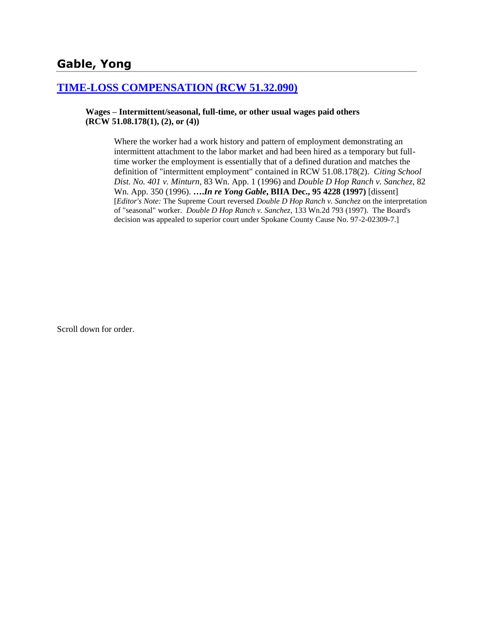# **Gable, Yong**

## **[TIME-LOSS COMPENSATION \(RCW 51.32.090\)](http://www.biia.wa.gov/SDSubjectIndex.html#TIME_LOSS_COMPENSATION)**

#### **Wages – Intermittent/seasonal, full-time, or other usual wages paid others (RCW 51.08.178(1), (2), or (4))**

Where the worker had a work history and pattern of employment demonstrating an intermittent attachment to the labor market and had been hired as a temporary but fulltime worker the employment is essentially that of a defined duration and matches the definition of "intermittent employment" contained in RCW 51.08.178(2). *Citing School Dist. No. 401 v. Minturn*, 83 Wn. App. 1 (1996) and *Double D Hop Ranch v. Sanchez*, 82 Wn. App. 350 (1996). **….***In re Yong Gable***, BIIA Dec., 95 4228 (1997)** [dissent] [*Editor's Note:* The Supreme Court reversed *Double D Hop Ranch v. Sanchez* on the interpretation of "seasonal" worker. *Double D Hop Ranch v. Sanchez*, 133 Wn.2d 793 (1997). The Board's decision was appealed to superior court under Spokane County Cause No. 97-2-02309-7.]

Scroll down for order.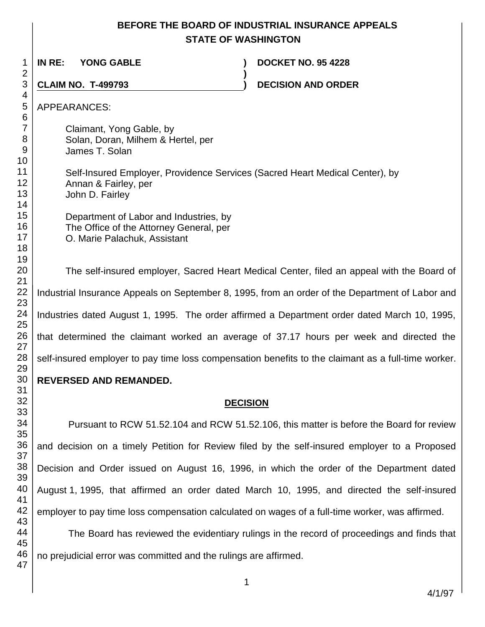# **BEFORE THE BOARD OF INDUSTRIAL INSURANCE APPEALS STATE OF WASHINGTON**

**)**

**IN RE: YONG GABLE ) DOCKET NO. 95 4228**

**CLAIM NO. T-499793 ) DECISION AND ORDER** 

APPEARANCES:

Claimant, Yong Gable, by Solan, Doran, Milhem & Hertel, per James T. Solan

Self-Insured Employer, Providence Services (Sacred Heart Medical Center), by Annan & Fairley, per John D. Fairley

Department of Labor and Industries, by The Office of the Attorney General, per O. Marie Palachuk, Assistant

The self-insured employer, Sacred Heart Medical Center, filed an appeal with the Board of Industrial Insurance Appeals on September 8, 1995, from an order of the Department of Labor and Industries dated August 1, 1995. The order affirmed a Department order dated March 10, 1995, that determined the claimant worked an average of 37.17 hours per week and directed the self-insured employer to pay time loss compensation benefits to the claimant as a full-time worker.

# **REVERSED AND REMANDED.**

# **DECISION**

Pursuant to RCW 51.52.104 and RCW 51.52.106, this matter is before the Board for review and decision on a timely Petition for Review filed by the self-insured employer to a Proposed Decision and Order issued on August 16, 1996, in which the order of the Department dated August 1, 1995, that affirmed an order dated March 10, 1995, and directed the self-insured employer to pay time loss compensation calculated on wages of a full-time worker, was affirmed.

The Board has reviewed the evidentiary rulings in the record of proceedings and finds that no prejudicial error was committed and the rulings are affirmed.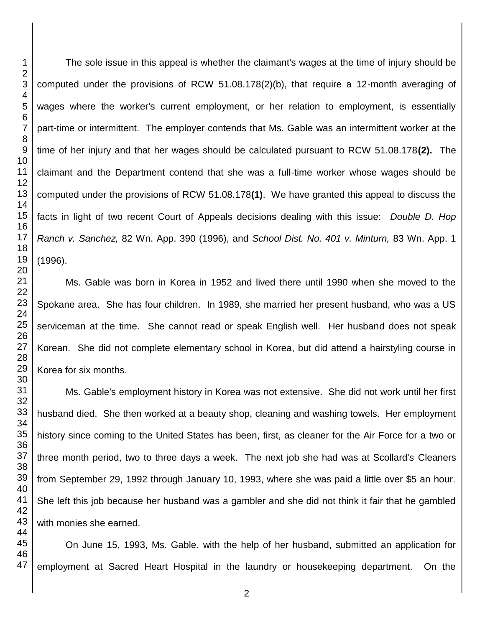The sole issue in this appeal is whether the claimant's wages at the time of injury should be computed under the provisions of RCW 51.08.178(2)(b), that require a 12-month averaging of wages where the worker's current employment, or her relation to employment, is essentially part-time or intermittent. The employer contends that Ms. Gable was an intermittent worker at the time of her injury and that her wages should be calculated pursuant to RCW 51.08.178**(2).** The claimant and the Department contend that she was a full-time worker whose wages should be computed under the provisions of RCW 51.08.178**(1)**. We have granted this appeal to discuss the facts in light of two recent Court of Appeals decisions dealing with this issue: *Double D. Hop Ranch v. Sanchez,* 82 Wn. App. 390 (1996), and *School Dist. No. 401 v. Minturn,* 83 Wn. App. 1 (1996).

Ms. Gable was born in Korea in 1952 and lived there until 1990 when she moved to the Spokane area. She has four children. In 1989, she married her present husband, who was a US serviceman at the time. She cannot read or speak English well. Her husband does not speak Korean. She did not complete elementary school in Korea, but did attend a hairstyling course in Korea for six months.

Ms. Gable's employment history in Korea was not extensive. She did not work until her first husband died. She then worked at a beauty shop, cleaning and washing towels. Her employment history since coming to the United States has been, first, as cleaner for the Air Force for a two or three month period, two to three days a week. The next job she had was at Scollard's Cleaners from September 29, 1992 through January 10, 1993, where she was paid a little over \$5 an hour. She left this job because her husband was a gambler and she did not think it fair that he gambled with monies she earned.

On June 15, 1993, Ms. Gable, with the help of her husband, submitted an application for employment at Sacred Heart Hospital in the laundry or housekeeping department. On the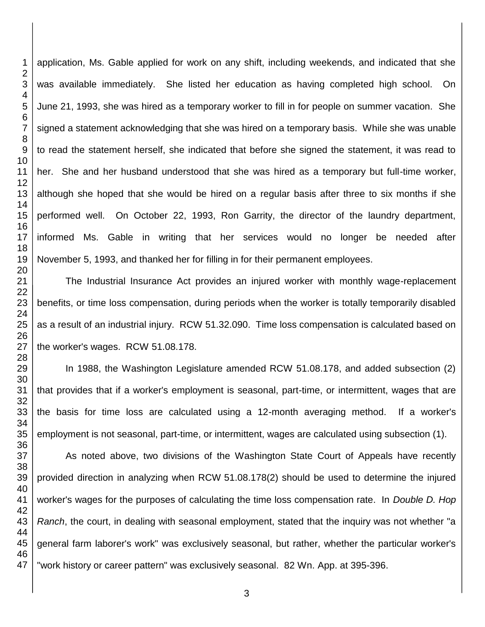application, Ms. Gable applied for work on any shift, including weekends, and indicated that she was available immediately. She listed her education as having completed high school. On June 21, 1993, she was hired as a temporary worker to fill in for people on summer vacation. She signed a statement acknowledging that she was hired on a temporary basis. While she was unable to read the statement herself, she indicated that before she signed the statement, it was read to her. She and her husband understood that she was hired as a temporary but full-time worker, although she hoped that she would be hired on a regular basis after three to six months if she performed well. On October 22, 1993, Ron Garrity, the director of the laundry department, informed Ms. Gable in writing that her services would no longer be needed after November 5, 1993, and thanked her for filling in for their permanent employees.

The Industrial Insurance Act provides an injured worker with monthly wage-replacement benefits, or time loss compensation, during periods when the worker is totally temporarily disabled as a result of an industrial injury. RCW 51.32.090. Time loss compensation is calculated based on the worker's wages. RCW 51.08.178.

In 1988, the Washington Legislature amended RCW 51.08.178, and added subsection (2) that provides that if a worker's employment is seasonal, part-time, or intermittent, wages that are the basis for time loss are calculated using a 12-month averaging method. If a worker's employment is not seasonal, part-time, or intermittent, wages are calculated using subsection (1).

As noted above, two divisions of the Washington State Court of Appeals have recently provided direction in analyzing when RCW 51.08.178(2) should be used to determine the injured worker's wages for the purposes of calculating the time loss compensation rate. In *Double D. Hop Ranch*, the court, in dealing with seasonal employment, stated that the inquiry was not whether "a general farm laborer's work" was exclusively seasonal, but rather, whether the particular worker's "work history or career pattern" was exclusively seasonal. 82 Wn. App. at 395-396.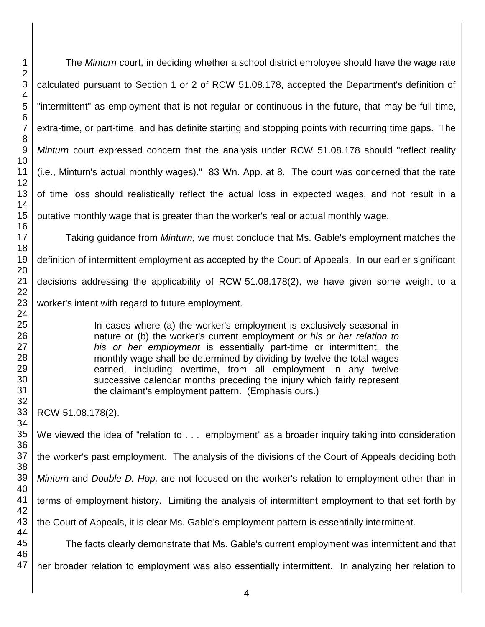The *Minturn c*ourt, in deciding whether a school district employee should have the wage rate calculated pursuant to Section 1 or 2 of RCW 51.08.178, accepted the Department's definition of "intermittent" as employment that is not regular or continuous in the future, that may be full-time, extra-time, or part-time, and has definite starting and stopping points with recurring time gaps. The *Minturn* court expressed concern that the analysis under RCW 51.08.178 should "reflect reality (i.e., Minturn's actual monthly wages)." 83 Wn. App. at 8. The court was concerned that the rate of time loss should realistically reflect the actual loss in expected wages, and not result in a putative monthly wage that is greater than the worker's real or actual monthly wage.

Taking guidance from *Minturn,* we must conclude that Ms. Gable's employment matches the definition of intermittent employment as accepted by the Court of Appeals. In our earlier significant decisions addressing the applicability of RCW 51.08.178(2), we have given some weight to a worker's intent with regard to future employment.

> In cases where (a) the worker's employment is exclusively seasonal in nature or (b) the worker's current employment *or his or her relation to his or her employment* is essentially part-time or intermittent, the monthly wage shall be determined by dividing by twelve the total wages earned, including overtime, from all employment in any twelve successive calendar months preceding the injury which fairly represent the claimant's employment pattern. (Emphasis ours.)

RCW 51.08.178(2).

We viewed the idea of "relation to . . . employment" as a broader inquiry taking into consideration the worker's past employment. The analysis of the divisions of the Court of Appeals deciding both *Minturn* and *Double D. Hop,* are not focused on the worker's relation to employment other than in terms of employment history. Limiting the analysis of intermittent employment to that set forth by the Court of Appeals, it is clear Ms. Gable's employment pattern is essentially intermittent. The facts clearly demonstrate that Ms. Gable's current employment was intermittent and that

her broader relation to employment was also essentially intermittent. In analyzing her relation to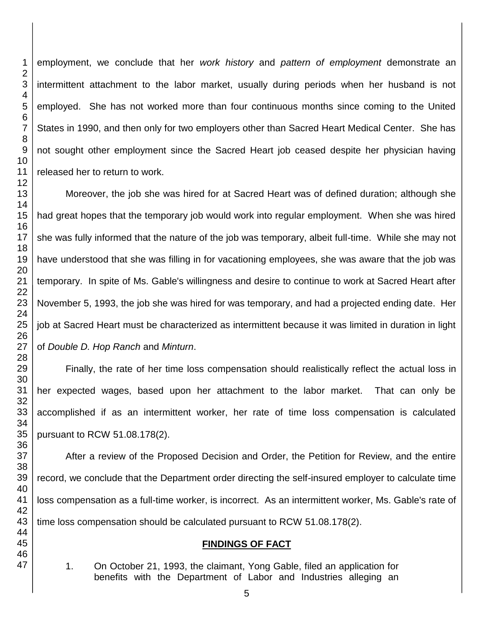employment, we conclude that her *work history* and *pattern of employment* demonstrate an intermittent attachment to the labor market, usually during periods when her husband is not employed. She has not worked more than four continuous months since coming to the United States in 1990, and then only for two employers other than Sacred Heart Medical Center. She has not sought other employment since the Sacred Heart job ceased despite her physician having released her to return to work.

Moreover, the job she was hired for at Sacred Heart was of defined duration; although she had great hopes that the temporary job would work into regular employment. When she was hired she was fully informed that the nature of the job was temporary, albeit full-time. While she may not have understood that she was filling in for vacationing employees, she was aware that the job was temporary. In spite of Ms. Gable's willingness and desire to continue to work at Sacred Heart after November 5, 1993, the job she was hired for was temporary, and had a projected ending date. Her job at Sacred Heart must be characterized as intermittent because it was limited in duration in light of *Double D. Hop Ranch* and *Minturn*.

Finally, the rate of her time loss compensation should realistically reflect the actual loss in her expected wages, based upon her attachment to the labor market. That can only be accomplished if as an intermittent worker, her rate of time loss compensation is calculated pursuant to RCW 51.08.178(2).

After a review of the Proposed Decision and Order, the Petition for Review, and the entire record, we conclude that the Department order directing the self-insured employer to calculate time loss compensation as a full-time worker, is incorrect. As an intermittent worker, Ms. Gable's rate of time loss compensation should be calculated pursuant to RCW 51.08.178(2).

## **FINDINGS OF FACT**

- 1. On October 21, 1993, the claimant, Yong Gable, filed an application for benefits with the Department of Labor and Industries alleging an
-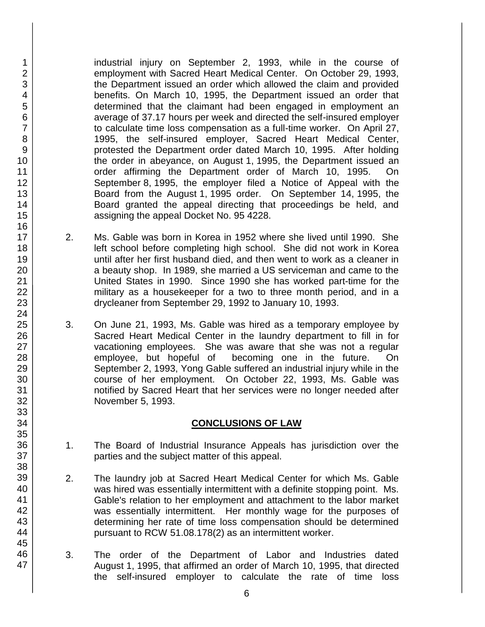industrial injury on September 2, 1993, while in the course of employment with Sacred Heart Medical Center. On October 29, 1993, the Department issued an order which allowed the claim and provided benefits. On March 10, 1995, the Department issued an order that determined that the claimant had been engaged in employment an average of 37.17 hours per week and directed the self-insured employer to calculate time loss compensation as a full-time worker. On April 27, 1995, the self-insured employer, Sacred Heart Medical Center, protested the Department order dated March 10, 1995. After holding the order in abeyance, on August 1, 1995, the Department issued an order affirming the Department order of March 10, 1995. On September 8, 1995, the employer filed a Notice of Appeal with the Board from the August 1, 1995 order. On September 14, 1995, the Board granted the appeal directing that proceedings be held, and assigning the appeal Docket No. 95 4228.

- 2. Ms. Gable was born in Korea in 1952 where she lived until 1990. She left school before completing high school. She did not work in Korea until after her first husband died, and then went to work as a cleaner in a beauty shop. In 1989, she married a US serviceman and came to the United States in 1990. Since 1990 she has worked part-time for the military as a housekeeper for a two to three month period, and in a drycleaner from September 29, 1992 to January 10, 1993.
- 3. On June 21, 1993, Ms. Gable was hired as a temporary employee by Sacred Heart Medical Center in the laundry department to fill in for vacationing employees. She was aware that she was not a regular employee, but hopeful of becoming one in the future. On September 2, 1993, Yong Gable suffered an industrial injury while in the course of her employment. On October 22, 1993, Ms. Gable was notified by Sacred Heart that her services were no longer needed after November 5, 1993.

## **CONCLUSIONS OF LAW**

- 1. The Board of Industrial Insurance Appeals has jurisdiction over the parties and the subject matter of this appeal.
- 2. The laundry job at Sacred Heart Medical Center for which Ms. Gable was hired was essentially intermittent with a definite stopping point. Ms. Gable's relation to her employment and attachment to the labor market was essentially intermittent. Her monthly wage for the purposes of determining her rate of time loss compensation should be determined pursuant to RCW 51.08.178(2) as an intermittent worker.
- 3. The order of the Department of Labor and Industries dated August 1, 1995, that affirmed an order of March 10, 1995, that directed the self-insured employer to calculate the rate of time loss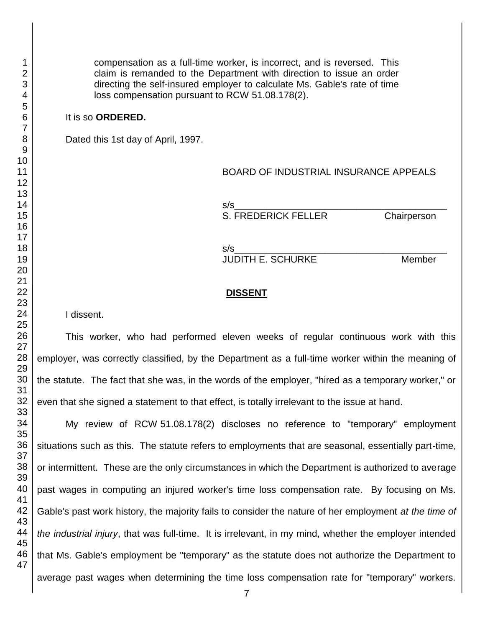compensation as a full-time worker, is incorrect, and is reversed. This claim is remanded to the Department with direction to issue an order directing the self-insured employer to calculate Ms. Gable's rate of time loss compensation pursuant to RCW 51.08.178(2).

### It is so **ORDERED.**

Dated this 1st day of April, 1997.

### BOARD OF INDUSTRIAL INSURANCE APPEALS

s/s\_\_\_\_\_\_\_\_\_\_\_\_\_\_\_\_\_\_\_\_\_\_\_\_\_\_\_\_\_\_\_\_\_\_\_\_\_\_\_\_ S. FREDERICK FELLER Chairperson

s/s\_\_\_\_\_\_\_\_\_\_\_\_\_\_\_\_\_\_\_\_\_\_\_\_\_\_\_\_\_\_\_\_\_\_\_\_\_\_\_\_ JUDITH E. SCHURKE Member

#### **DISSENT**

I dissent.

This worker, who had performed eleven weeks of regular continuous work with this employer, was correctly classified, by the Department as a full-time worker within the meaning of the statute. The fact that she was, in the words of the employer, "hired as a temporary worker," or even that she signed a statement to that effect, is totally irrelevant to the issue at hand.

My review of RCW 51.08.178(2) discloses no reference to "temporary" employment situations such as this. The statute refers to employments that are seasonal, essentially part-time, or intermittent. These are the only circumstances in which the Department is authorized to average past wages in computing an injured worker's time loss compensation rate. By focusing on Ms. Gable's past work history, the majority fails to consider the nature of her employment *at the time of the industrial injury*, that was full-time. It is irrelevant, in my mind, whether the employer intended that Ms. Gable's employment be "temporary" as the statute does not authorize the Department to average past wages when determining the time loss compensation rate for "temporary" workers.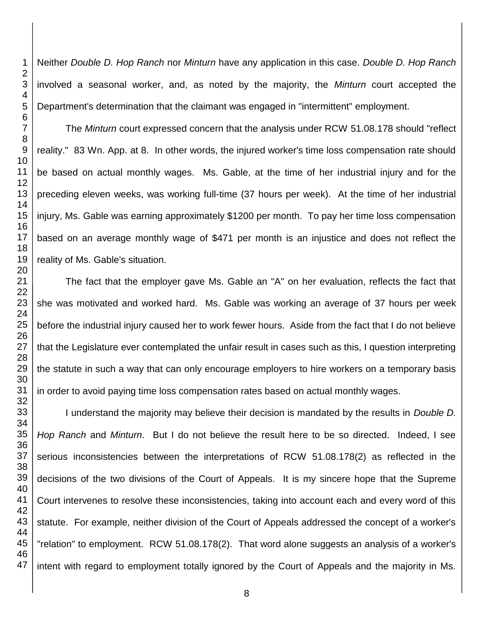Neither *Double D. Hop Ranch* nor *Minturn* have any application in this case. *Double D. Hop Ranch* involved a seasonal worker, and, as noted by the majority, the *Minturn* court accepted the Department's determination that the claimant was engaged in "intermittent" employment.

The *Minturn* court expressed concern that the analysis under RCW 51.08.178 should "reflect reality." 83 Wn. App. at 8. In other words, the injured worker's time loss compensation rate should be based on actual monthly wages. Ms. Gable, at the time of her industrial injury and for the preceding eleven weeks, was working full-time (37 hours per week). At the time of her industrial injury, Ms. Gable was earning approximately \$1200 per month. To pay her time loss compensation based on an average monthly wage of \$471 per month is an injustice and does not reflect the reality of Ms. Gable's situation.

The fact that the employer gave Ms. Gable an "A" on her evaluation, reflects the fact that she was motivated and worked hard. Ms. Gable was working an average of 37 hours per week before the industrial injury caused her to work fewer hours. Aside from the fact that I do not believe that the Legislature ever contemplated the unfair result in cases such as this, I question interpreting the statute in such a way that can only encourage employers to hire workers on a temporary basis in order to avoid paying time loss compensation rates based on actual monthly wages.

I understand the majority may believe their decision is mandated by the results in *Double D. Hop Ranch* and *Minturn*. But I do not believe the result here to be so directed. Indeed, I see serious inconsistencies between the interpretations of RCW 51.08.178(2) as reflected in the decisions of the two divisions of the Court of Appeals. It is my sincere hope that the Supreme Court intervenes to resolve these inconsistencies, taking into account each and every word of this statute. For example, neither division of the Court of Appeals addressed the concept of a worker's "relation" to employment. RCW 51.08.178(2). That word alone suggests an analysis of a worker's intent with regard to employment totally ignored by the Court of Appeals and the majority in Ms.